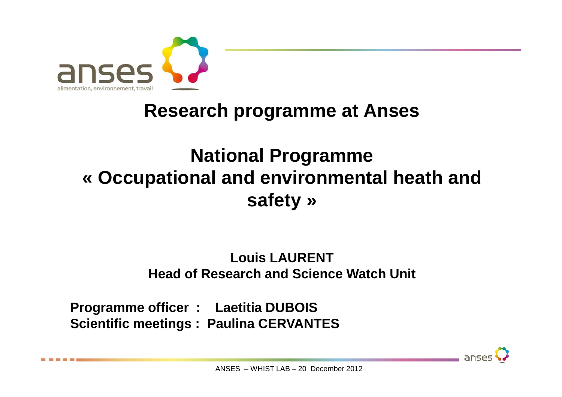

## **Research programme at Anses**

# **National Programme « Occupational and environmental heath and safety »**

#### **Louis LAURENTHead of Research and Science Watch Unit**

**Programme officer : Laetitia DUBOIS Scientific meetings : Paulina CERVANTES**

anses

ANSES – WHIST LAB – 20 December 2012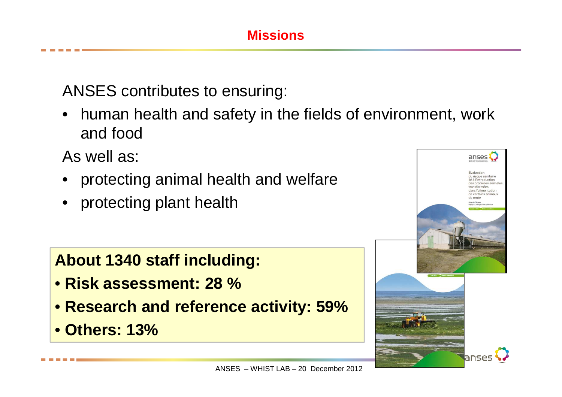#### **Missions**

ANSES contributes to ensuring:

 $\bullet$  human health and safety in the fields of environment, work and food

As well as:

- $\bullet$ protecting animal health and welfare
- $\bullet$ protecting plant health

**About 1340 staff including:** 

- **Risk assessment: 28 %**
- **Research and reference activity: 59%**
- **Others: 13%**

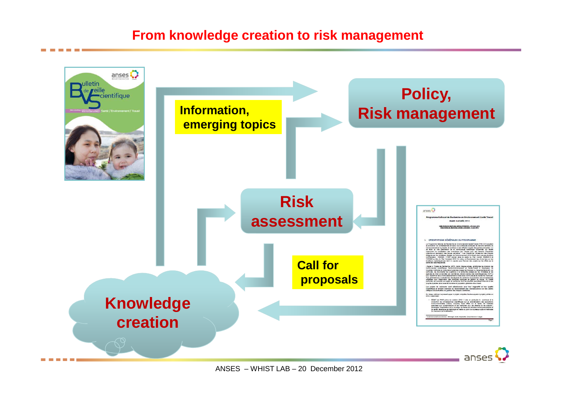#### **From knowledge creation to risk management**



ANSES – WHIST LAB – 20 December 2012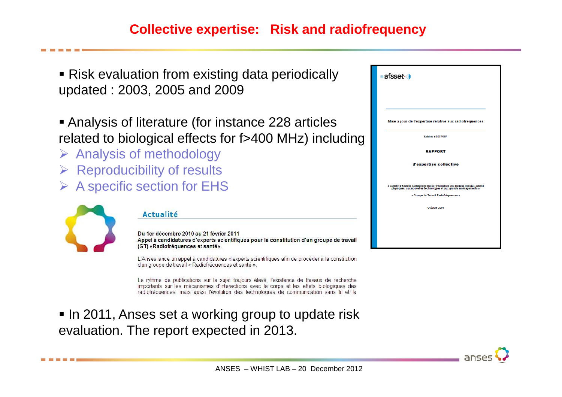#### **Collective expertise: Risk and radiofrequency**

■ Risk evaluation from existing data periodically updated : 2003, 2005 and 2009

 Analysis of literature (for instance 228 articles related to biological effects for f>400 MHz) including

- > Analysis of methodology
- > Reproducibility of results
- **► A specific section for EHS**



#### **Actualité**

Du 1er décembre 2010 au 21 février 2011 Appel à candidatures d'experts scientifiques pour la constitution d'un groupe de travail (GT) «Radiofréquences et santé».

L'Anses lance un appel à candidatures d'experts scientifiques afin de procéder à la constitution d'un groupe de travail « Radiofréquences et santé ».

Le rythme de publications sur le sujet toujours élevé, l'existence de travaux de recherche importants sur les mécanismes d'interactions avec le corps et les effets biologiques des radiofréquences, mais aussi l'évolution des technologies de communication sans fil et la

 $\blacksquare$  In 2011, Anses set a working group to update risk evaluation. The report expected in 2013.

| afsset (i)                                                                                                                                                                                    |
|-----------------------------------------------------------------------------------------------------------------------------------------------------------------------------------------------|
| Mise à jour de l'expertise relative aux radiofréquences                                                                                                                                       |
| Salsine n'2007/007                                                                                                                                                                            |
| <b>RAPPORT</b>                                                                                                                                                                                |
| d'expertise collective                                                                                                                                                                        |
| « Comité d'Experts Spécialisés liés à l'évaluation des risques liés aux agents<br>• physiques, aux nouvelles technologies et aux grands aménagements<br>« Groupe de Travail Radiofréquences » |
| Octobre 2009                                                                                                                                                                                  |
|                                                                                                                                                                                               |
|                                                                                                                                                                                               |

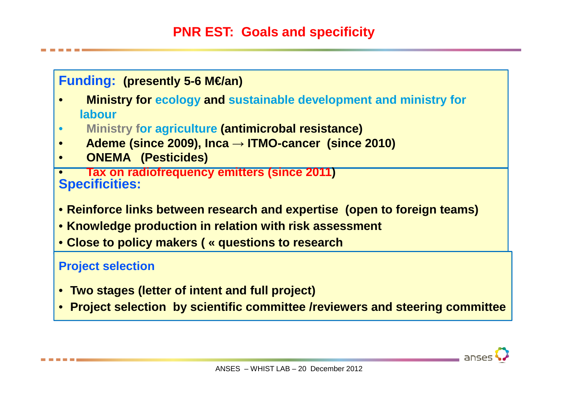

- **Two stages (letter of intent and full project)**
- **Project selection by scientific committee /reviewers and steering committee**

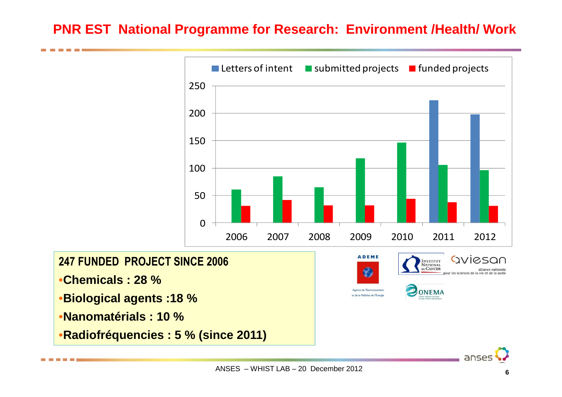#### **PNR EST National Programme for Research: Environment /Health/ Work**

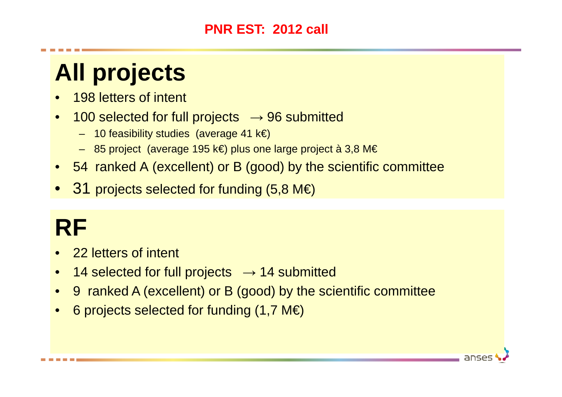#### **PNR EST: 2012 call**

# **All projects**

- $\bullet$ 198 letters of intent
- $\bullet$  $100$  selected for full projects  $\rightarrow$  96 submitted
	- 10 feasibility studies (average 41 k€)
	- 85 project (average 195 k€) plus one large project à 3,8 M€
- 54 ranked A (excellent) or B (good) by the scientific committee
- $\bullet$   $\,$   $\,31$  projects selected for funding (5,8 M€)

# **RF**

- 22 letters of intent
- $\bullet$ 14 selected for full projects  $\rightarrow$  14 submitted
- $\bullet$ 9 ranked A (excellent) or B (good) by the scientific committee

anses

• 6 projects selected for funding (1,7 M€)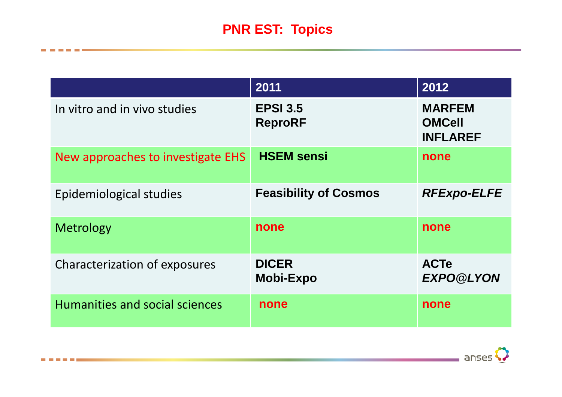### **PNR EST: Topics**

----

|                                   | 2011                              | 2012                                              |
|-----------------------------------|-----------------------------------|---------------------------------------------------|
| In vitro and in vivo studies      | <b>EPSI 3.5</b><br><b>ReproRF</b> | <b>MARFEM</b><br><b>OMCell</b><br><b>INFLAREF</b> |
| New approaches to investigate EHS | <b>HSEM sensi</b>                 | none                                              |
| Epidemiological studies           | <b>Feasibility of Cosmos</b>      | <b>RFExpo-ELFE</b>                                |
| Metrology                         | none                              | none                                              |
| Characterization of exposures     | <b>DICER</b><br><b>Mobi-Expo</b>  | <b>ACTe</b><br><b>EXPO@LYON</b>                   |
| Humanities and social sciences    | none                              | none                                              |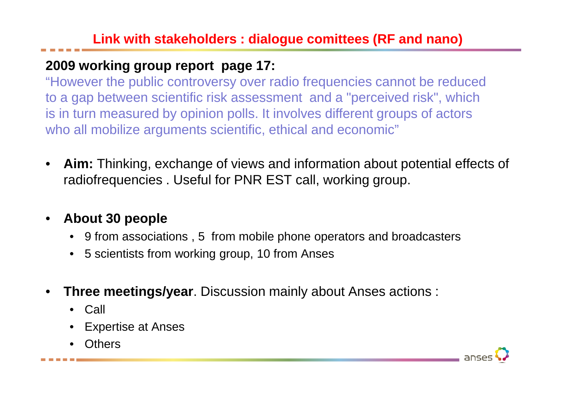#### **2009 working group report page 17:**

 "However the public controversy over radio frequencies cannot be reduced to a gap between scientific risk assessment and a "perceived risk", which is in turn measured by opinion polls. It involves different groups of actors who all mobilize arguments scientific, ethical and economic"

• **Aim:** Thinking, exchange of views and information about potential effects of radiofrequencies . Useful for PNR EST call, working group.

#### •**About 30 people**

- 9 from associations , 5 from mobile phone operators and broadcasters
- 5 scientists from working group, 10 from Anses
- • **Three meetings/year**. Discussion mainly about Anses actions :
	- Call
	- Expertise at Anses
	- •**Others**

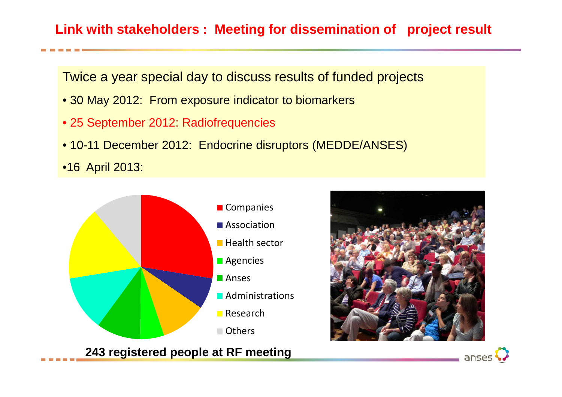#### **Link with stakeholders : Meeting for dissemination of project result**

Twice a year special day to discuss results of funded projects

- 30 May 2012: From exposure indicator to biomarkers
- 25 September 2012: Radiofrequencies
- 10-11 December 2012: Endocrine disruptors (MEDDE/ANSES)

•16 April 2013:



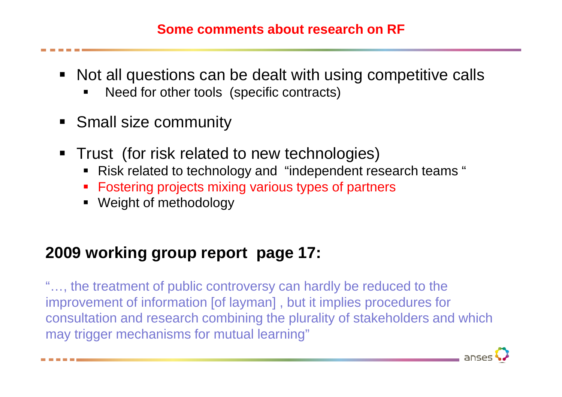#### **Some comments about research on RF**

- Not all questions can be dealt with using competitive calls
	- Need for other tools (specific contracts)
- **Small size community**
- **Trust** (for risk related to new technologies)
	- Risk related to technology and "independent research teams "
	- Fostering projects mixing various types of partners
	- Weight of methodology

### **2009 working group report page 17:**

"…, the treatment of public controversy can hardly be reduced to the improvement of information [of layman] , but it implies procedures for consultation and research combining the plurality of stakeholders and which may trigger mechanisms for mutual learning"